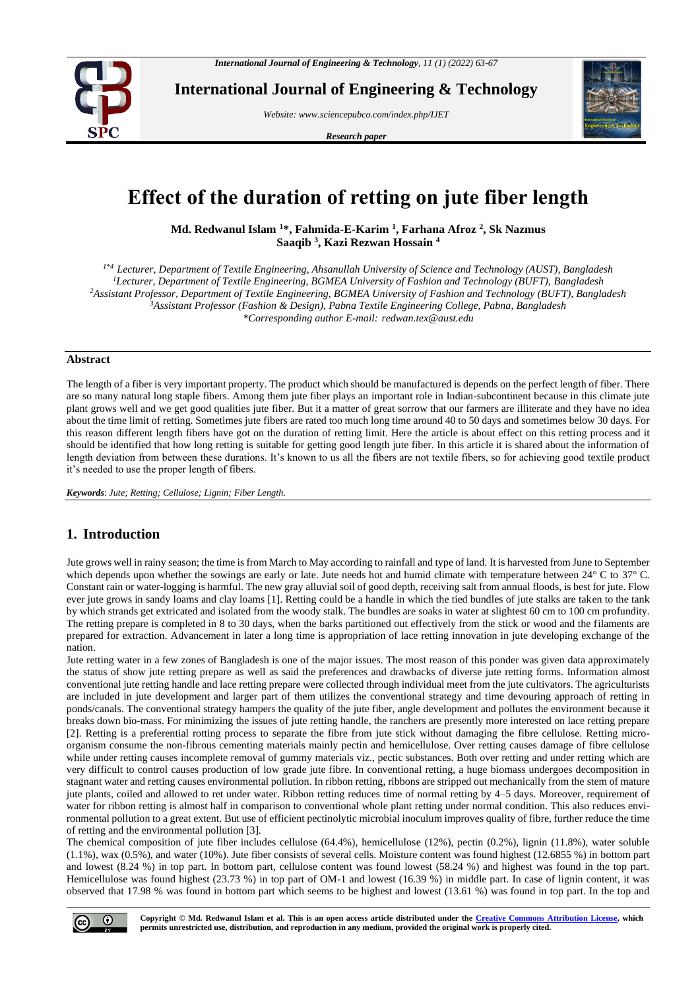

**International Journal of Engineering & Technology**

*Website: www.sciencepubco.com/index.php/IJET* 

*Research paper*



# **Effect of the duration of retting on jute fiber length**

**Md. Redwanul Islam <sup>1</sup>\*, Fahmida-E-Karim <sup>1</sup> , Farhana Afroz <sup>2</sup> , Sk Nazmus Saaqib <sup>3</sup> , Kazi Rezwan Hossain <sup>4</sup>**

*1\*4 Lecturer, Department of Textile Engineering, Ahsanullah University of Science and Technology (AUST), Bangladesh <sup>1</sup>Lecturer, Department of Textile Engineering, BGMEA University of Fashion and Technology (BUFT), Bangladesh <sup>2</sup>Assistant Professor, Department of Textile Engineering, BGMEA University of Fashion and Technology (BUFT), Bangladesh <sup>3</sup>Assistant Professor (Fashion & Design), Pabna Textile Engineering College, Pabna, Bangladesh \*Corresponding author E-mail: redwan.tex@aust.edu*

### **Abstract**

The length of a fiber is very important property. The product which should be manufactured is depends on the perfect length of fiber. There are so many natural long staple fibers. Among them jute fiber plays an important role in Indian-subcontinent because in this climate jute plant grows well and we get good qualities jute fiber. But it a matter of great sorrow that our farmers are illiterate and they have no idea about the time limit of retting. Sometimes jute fibers are rated too much long time around 40 to 50 days and sometimes below 30 days. For this reason different length fibers have got on the duration of retting limit. Here the article is about effect on this retting process and it should be identified that how long retting is suitable for getting good length jute fiber. In this article it is shared about the information of length deviation from between these durations. It's known to us all the fibers are not textile fibers, so for achieving good textile product it's needed to use the proper length of fibers.

*Keywords*: *Jute; Retting; Cellulose; Lignin; Fiber Length.*

# **1. Introduction**

Jute grows well in rainy season; the time is from March to May according to rainfall and type of land. It is harvested from June to September which depends upon whether the sowings are early or late. Jute needs hot and humid climate with temperature between 24° C to 37° C. Constant rain or water-logging is harmful. The new gray alluvial soil of good depth, receiving salt from annual floods, is best for jute. Flow ever jute grows in sandy loams and clay loams [1]. Retting could be a handle in which the tied bundles of jute stalks are taken to the tank by which strands get extricated and isolated from the woody stalk. The bundles are soaks in water at slightest 60 cm to 100 cm profundity. The retting prepare is completed in 8 to 30 days, when the barks partitioned out effectively from the stick or wood and the filaments are prepared for extraction. Advancement in later a long time is appropriation of lace retting innovation in jute developing exchange of the nation.

Jute retting water in a few zones of Bangladesh is one of the major issues. The most reason of this ponder was given data approximately the status of show jute retting prepare as well as said the preferences and drawbacks of diverse jute retting forms. Information almost conventional jute retting handle and lace retting prepare were collected through individual meet from the jute cultivators. The agriculturists are included in jute development and larger part of them utilizes the conventional strategy and time devouring approach of retting in ponds/canals. The conventional strategy hampers the quality of the jute fiber, angle development and pollutes the environment because it breaks down bio-mass. For minimizing the issues of jute retting handle, the ranchers are presently more interested on lace retting prepare [2]. Retting is a preferential rotting process to separate the fibre from jute stick without damaging the fibre cellulose. Retting microorganism consume the non-fibrous cementing materials mainly pectin and hemicellulose. Over retting causes damage of fibre cellulose while under retting causes incomplete removal of gummy materials viz., pectic substances. Both over retting and under retting which are very difficult to control causes production of low grade jute fibre. In conventional retting, a huge biomass undergoes decomposition in stagnant water and retting causes environmental pollution. In ribbon retting, ribbons are stripped out mechanically from the stem of mature jute plants, coiled and allowed to ret under water. Ribbon retting reduces time of normal retting by 4–5 days. Moreover, requirement of water for ribbon retting is almost half in comparison to conventional whole plant retting under normal condition. This also reduces environmental pollution to a great extent. But use of efficient pectinolytic microbial inoculum improves quality of fibre, further reduce the time of retting and the environmental pollution [3].

The chemical composition of jute fiber includes cellulose (64.4%), hemicellulose (12%), pectin (0.2%), lignin (11.8%), water soluble (1.1%), wax (0.5%), and water (10%). Jute fiber consists of several cells. Moisture content was found highest (12.6855 %) in bottom part and lowest (8.24 %) in top part. In bottom part, cellulose content was found lowest (58.24 %) and highest was found in the top part. Hemicellulose was found highest (23.73 %) in top part of OM-1 and lowest (16.39 %) in middle part. In case of lignin content, it was observed that 17.98 % was found in bottom part which seems to be highest and lowest (13.61 %) was found in top part. In the top and



**Copyright © Md. Redwanul Islam et al. This is an open access article distributed under the [Creative Commons Attribution License,](http://creativecommons.org/licenses/by/3.0/) which permits unrestricted use, distribution, and reproduction in any medium, provided the original work is properly cited.**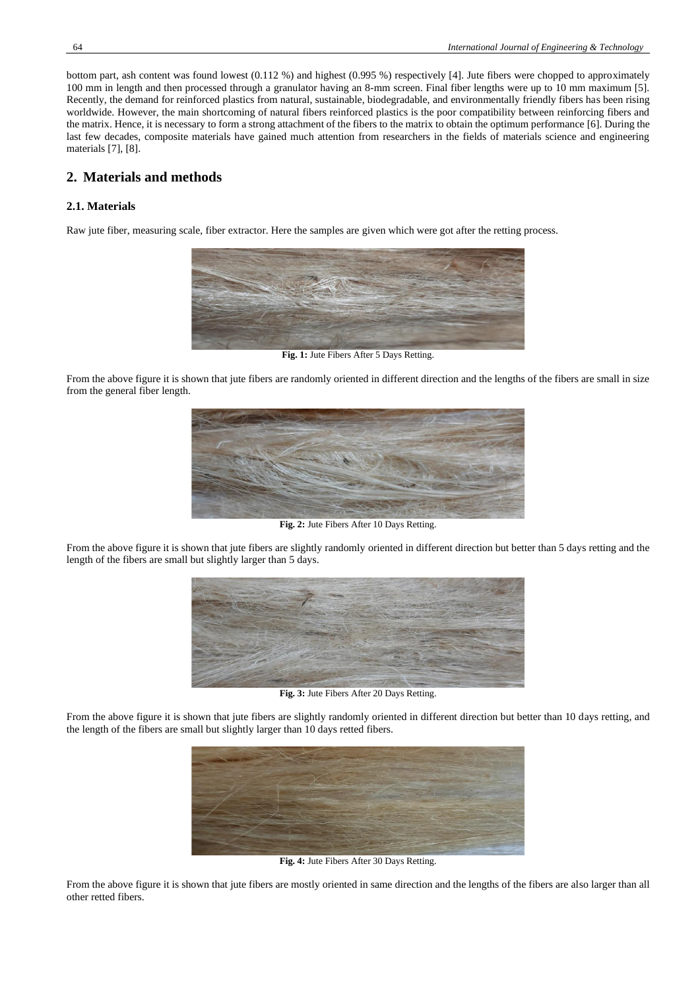bottom part, ash content was found lowest (0.112 %) and highest (0.995 %) respectively [4]. Jute fibers were chopped to approximately 100 mm in length and then processed through a granulator having an 8-mm screen. Final fiber lengths were up to 10 mm maximum [5]. Recently, the demand for reinforced plastics from natural, sustainable, biodegradable, and environmentally friendly fibers has been rising worldwide. However, the main shortcoming of natural fibers reinforced plastics is the poor compatibility between reinforcing fibers and the matrix. Hence, it is necessary to form a strong attachment of the fibers to the matrix to obtain the optimum performance [6]. During the last few decades, composite materials have gained much attention from researchers in the fields of materials science and engineering materials [7], [8].

## **2. Materials and methods**

#### **2.1. Materials**

Raw jute fiber, measuring scale, fiber extractor. Here the samples are given which were got after the retting process.



**Fig. 1:** Jute Fibers After 5 Days Retting.

From the above figure it is shown that jute fibers are randomly oriented in different direction and the lengths of the fibers are small in size from the general fiber length.



**Fig. 2:** Jute Fibers After 10 Days Retting.

From the above figure it is shown that jute fibers are slightly randomly oriented in different direction but better than 5 days retting and the length of the fibers are small but slightly larger than 5 days.



**Fig. 3:** Jute Fibers After 20 Days Retting.

From the above figure it is shown that jute fibers are slightly randomly oriented in different direction but better than 10 days retting, and the length of the fibers are small but slightly larger than 10 days retted fibers.



**Fig. 4:** Jute Fibers After 30 Days Retting.

From the above figure it is shown that jute fibers are mostly oriented in same direction and the lengths of the fibers are also larger than all other retted fibers.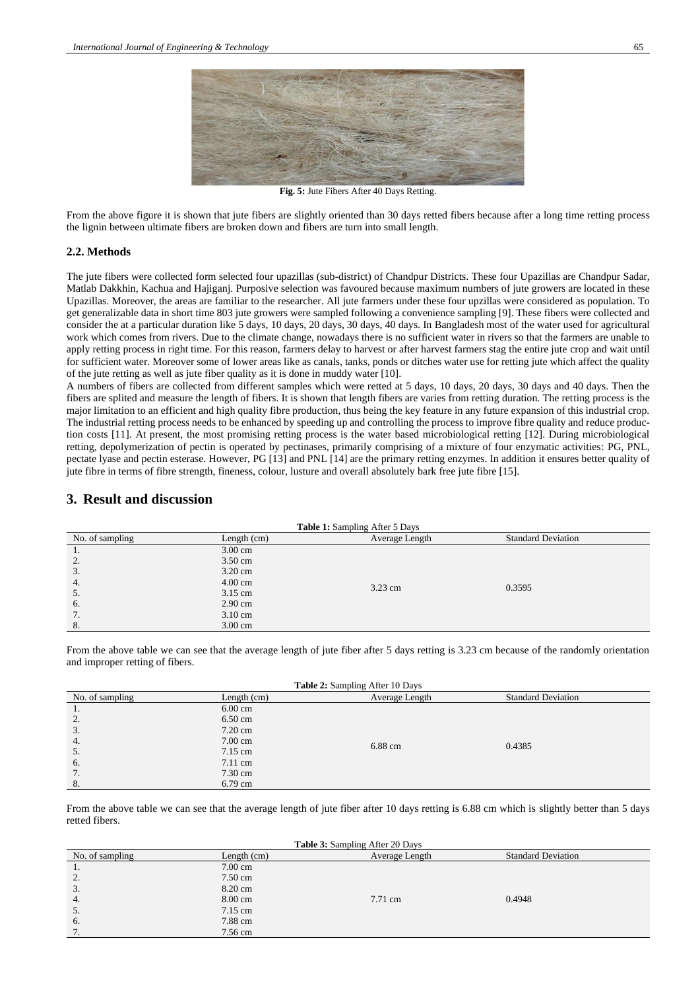

**Fig. 5:** Jute Fibers After 40 Days Retting.

From the above figure it is shown that jute fibers are slightly oriented than 30 days retted fibers because after a long time retting process the lignin between ultimate fibers are broken down and fibers are turn into small length.

#### **2.2. Methods**

The jute fibers were collected form selected four upazillas (sub-district) of Chandpur Districts. These four Upazillas are Chandpur Sadar, Matlab Dakkhin, Kachua and Hajiganj. Purposive selection was favoured because maximum numbers of jute growers are located in these Upazillas. Moreover, the areas are familiar to the researcher. All jute farmers under these four upzillas were considered as population. To get generalizable data in short time 803 jute growers were sampled following a convenience sampling [9]. These fibers were collected and consider the at a particular duration like 5 days, 10 days, 20 days, 30 days, 40 days. In Bangladesh most of the water used for agricultural work which comes from rivers. Due to the climate change, nowadays there is no sufficient water in rivers so that the farmers are unable to apply retting process in right time. For this reason, farmers delay to harvest or after harvest farmers stag the entire jute crop and wait until for sufficient water. Moreover some of lower areas like as canals, tanks, ponds or ditches water use for retting jute which affect the quality of the jute retting as well as jute fiber quality as it is done in muddy water [10].

A numbers of fibers are collected from different samples which were retted at 5 days, 10 days, 20 days, 30 days and 40 days. Then the fibers are splited and measure the length of fibers. It is shown that length fibers are varies from retting duration. The retting process is the major limitation to an efficient and high quality fibre production, thus being the key feature in any future expansion of this industrial crop. The industrial retting process needs to be enhanced by speeding up and controlling the process to improve fibre quality and reduce production costs [11]. At present, the most promising retting process is the water based microbiological retting [12]. During microbiological retting, depolymerization of pectin is operated by pectinases, primarily comprising of a mixture of four enzymatic activities: PG, PNL, pectate lyase and pectin esterase. However, PG [13] and PNL [14] are the primary retting enzymes. In addition it ensures better quality of jute fibre in terms of fibre strength, fineness, colour, lusture and overall absolutely bark free jute fibre [15].

## **3. Result and discussion**

| <b>Table 1:</b> Sampling After 5 Days |                   |                |                           |  |
|---------------------------------------|-------------------|----------------|---------------------------|--|
| No. of sampling                       | Length $(cm)$     | Average Length | <b>Standard Deviation</b> |  |
| .,                                    | $3.00 \text{ cm}$ |                |                           |  |
| 2.                                    | $3.50 \text{ cm}$ |                |                           |  |
| 3.                                    | $3.20 \text{ cm}$ |                |                           |  |
| 4.                                    | $4.00 \text{ cm}$ |                | 0.3595                    |  |
| $\mathcal{L}$                         | 3.15 cm           | 3.23 cm        |                           |  |
| 6.                                    | $2.90 \text{ cm}$ |                |                           |  |
| 7.                                    | $3.10 \text{ cm}$ |                |                           |  |
| 8.                                    | $3.00 \text{ cm}$ |                |                           |  |

From the above table we can see that the average length of jute fiber after 5 days retting is 3.23 cm because of the randomly orientation and improper retting of fibers.

| <b>Table 2:</b> Sampling After 10 Days |                   |                |                           |
|----------------------------------------|-------------------|----------------|---------------------------|
| No. of sampling                        | Length $(cm)$     | Average Length | <b>Standard Deviation</b> |
| 1.                                     | $6.00 \text{ cm}$ |                |                           |
| 2.                                     | 6.50 cm           |                |                           |
| 3.                                     | $7.20 \text{ cm}$ |                |                           |
| 4.                                     | $7.00 \text{ cm}$ |                | 0.4385                    |
| 5.                                     | 7.15 cm           | 6.88 cm        |                           |
| 6.                                     | $7.11 \text{ cm}$ |                |                           |
| 7.                                     | $7.30 \text{ cm}$ |                |                           |
| 8.                                     | 6.79 cm           |                |                           |

From the above table we can see that the average length of jute fiber after 10 days retting is 6.88 cm which is slightly better than 5 days retted fibers.

| <b>Table 3:</b> Sampling After 20 Days |                   |                |                           |
|----------------------------------------|-------------------|----------------|---------------------------|
| No. of sampling                        | Length $(cm)$     | Average Length | <b>Standard Deviation</b> |
| 1.                                     | $7.00 \text{ cm}$ |                |                           |
| 2.                                     | 7.50 cm           |                |                           |
| 3.                                     | 8.20 cm           |                |                           |
| 4.                                     | 8.00 cm           | 7.71 cm        | 0.4948                    |
| -5.                                    | 7.15 cm           |                |                           |
| 6.                                     | 7.88 cm           |                |                           |
|                                        | 7.56 cm           |                |                           |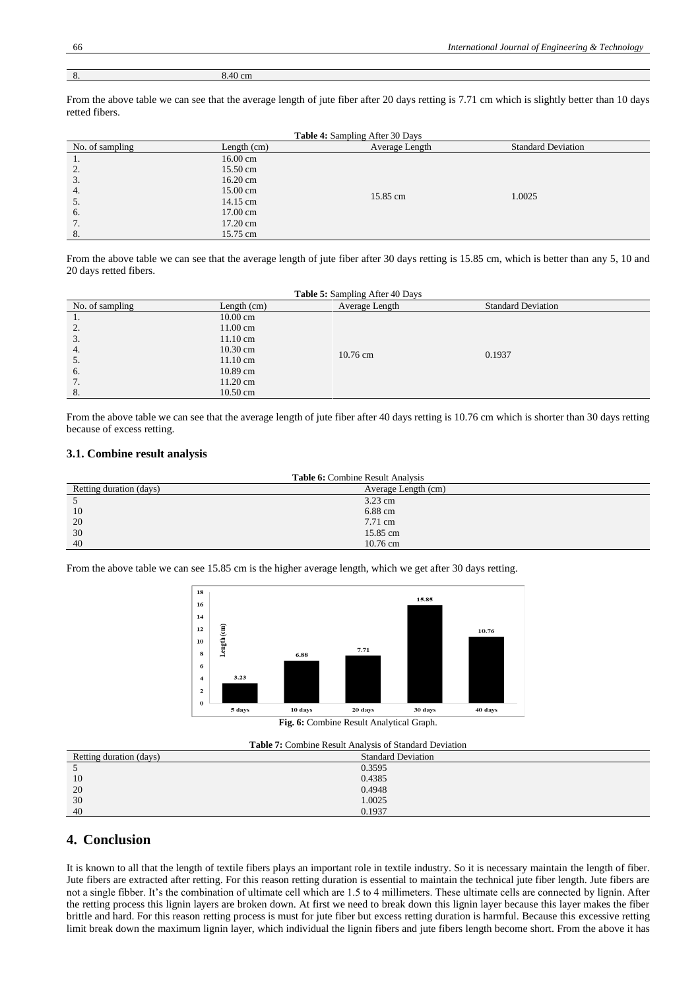| $\epsilon$<br>$\circ$ . | 8.40 cm |
|-------------------------|---------|

From the above table we can see that the average length of jute fiber after 20 days retting is 7.71 cm which is slightly better than 10 days retted fibers.

| <b>Table 4:</b> Sampling After 30 Days |               |                |                           |  |
|----------------------------------------|---------------|----------------|---------------------------|--|
| No. of sampling                        | Length $(cm)$ | Average Length | <b>Standard Deviation</b> |  |
| 1.                                     | 16.00 cm      |                |                           |  |
| 2.                                     | 15.50 cm      |                |                           |  |
| 3.                                     | 16.20 cm      |                |                           |  |
| 4.                                     | 15.00 cm      | 15.85 cm       | 1.0025                    |  |
| 5.                                     | 14.15 cm      |                |                           |  |
| 6.                                     | 17.00 cm      |                |                           |  |
| 7.                                     | 17.20 cm      |                |                           |  |
| 8.                                     | 15.75 cm      |                |                           |  |

From the above table we can see that the average length of jute fiber after 30 days retting is 15.85 cm, which is better than any 5, 10 and 20 days retted fibers.

| <b>Table 5:</b> Sampling After 40 Days |                    |                    |                           |  |
|----------------------------------------|--------------------|--------------------|---------------------------|--|
| No. of sampling                        | Length $(cm)$      | Average Length     | <b>Standard Deviation</b> |  |
| .,                                     | $10.00 \text{ cm}$ |                    |                           |  |
| 2.                                     | 11.00 cm           |                    |                           |  |
| 3.                                     | $11.10 \text{ cm}$ |                    |                           |  |
| 4.                                     | 10.30 cm           | $10.76 \text{ cm}$ | 0.1937                    |  |
| 5.                                     | $11.10 \text{ cm}$ |                    |                           |  |
| -6.                                    | 10.89 cm           |                    |                           |  |
| 7.                                     | $11.20 \text{ cm}$ |                    |                           |  |
| 8.                                     | $10.50 \text{ cm}$ |                    |                           |  |

From the above table we can see that the average length of jute fiber after 40 days retting is 10.76 cm which is shorter than 30 days retting because of excess retting.

## **3.1. Combine result analysis**

| <b>Table 6:</b> Combine Result Analysis |                     |  |  |
|-----------------------------------------|---------------------|--|--|
| Retting duration (days)                 | Average Length (cm) |  |  |
|                                         | 3.23 cm             |  |  |
| 10                                      | 6.88 cm             |  |  |
| 20                                      | 7.71 cm             |  |  |
| 30                                      | 15.85 cm            |  |  |
| 40                                      | $10.76$ cm          |  |  |

From the above table we can see 15.85 cm is the higher average length, which we get after 30 days retting.



**Fig. 6:** Combine Result Analytical Graph.

| <b>Table 7:</b> Combine Result Analysis of Standard Deviation |                           |  |  |
|---------------------------------------------------------------|---------------------------|--|--|
| Retting duration (days)                                       | <b>Standard Deviation</b> |  |  |
|                                                               | 0.3595                    |  |  |
| 10                                                            | 0.4385                    |  |  |
| 20                                                            | 0.4948                    |  |  |
| 30                                                            | 1.0025                    |  |  |
| 40                                                            | 0.1937                    |  |  |

# **4. Conclusion**

It is known to all that the length of textile fibers plays an important role in textile industry. So it is necessary maintain the length of fiber. Jute fibers are extracted after retting. For this reason retting duration is essential to maintain the technical jute fiber length. Jute fibers are not a single fibber. It's the combination of ultimate cell which are 1.5 to 4 millimeters. These ultimate cells are connected by lignin. After the retting process this lignin layers are broken down. At first we need to break down this lignin layer because this layer makes the fiber brittle and hard. For this reason retting process is must for jute fiber but excess retting duration is harmful. Because this excessive retting limit break down the maximum lignin layer, which individual the lignin fibers and jute fibers length become short. From the above it has

E